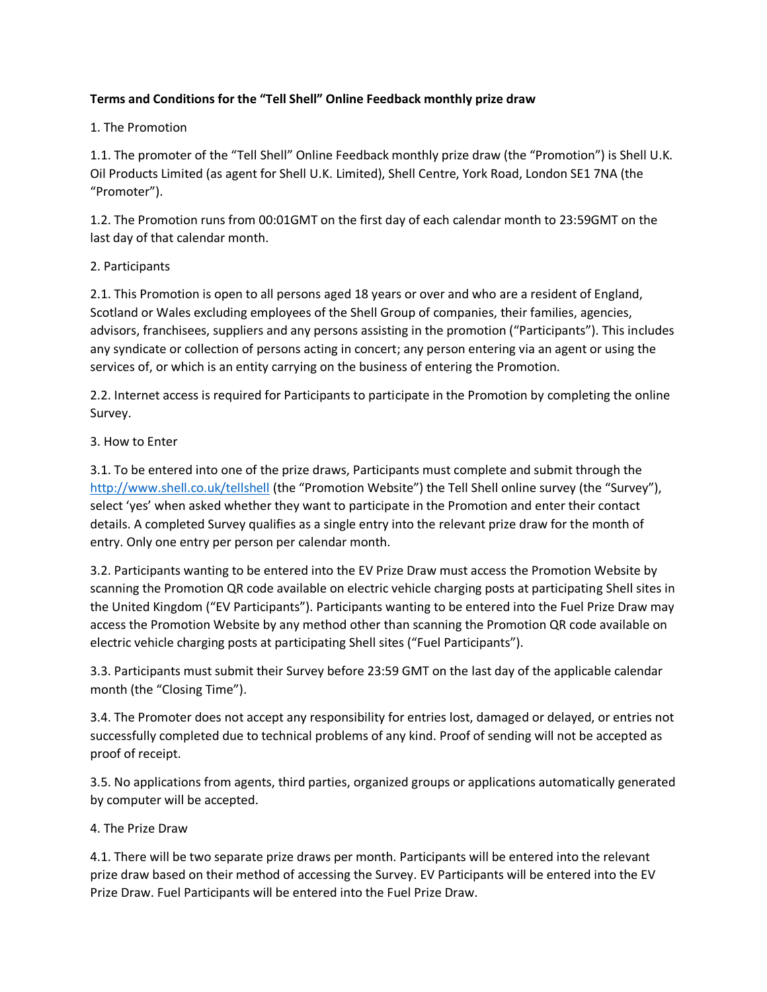### **Terms and Conditions for the "Tell Shell" Online Feedback monthly prize draw**

### 1. The Promotion

1.1. The promoter of the "Tell Shell" Online Feedback monthly prize draw (the "Promotion") is Shell U.K. Oil Products Limited (as agent for Shell U.K. Limited), Shell Centre, York Road, London SE1 7NA (the "Promoter").

1.2. The Promotion runs from 00:01GMT on the first day of each calendar month to 23:59GMT on the last day of that calendar month.

#### 2. Participants

2.1. This Promotion is open to all persons aged 18 years or over and who are a resident of England, Scotland or Wales excluding employees of the Shell Group of companies, their families, agencies, advisors, franchisees, suppliers and any persons assisting in the promotion ("Participants"). This includes any syndicate or collection of persons acting in concert; any person entering via an agent or using the services of, or which is an entity carrying on the business of entering the Promotion.

2.2. Internet access is required for Participants to participate in the Promotion by completing the online Survey.

## 3. How to Enter

3.1. To be entered into one of the prize draws, Participants must complete and submit through the <http://www.shell.co.uk/tellshell> (the "Promotion Website") the Tell Shell online survey (the "Survey"), select 'yes' when asked whether they want to participate in the Promotion and enter their contact details. A completed Survey qualifies as a single entry into the relevant prize draw for the month of entry. Only one entry per person per calendar month.

3.2. Participants wanting to be entered into the EV Prize Draw must access the Promotion Website by scanning the Promotion QR code available on electric vehicle charging posts at participating Shell sites in the United Kingdom ("EV Participants"). Participants wanting to be entered into the Fuel Prize Draw may access the Promotion Website by any method other than scanning the Promotion QR code available on electric vehicle charging posts at participating Shell sites ("Fuel Participants").

3.3. Participants must submit their Survey before 23:59 GMT on the last day of the applicable calendar month (the "Closing Time").

3.4. The Promoter does not accept any responsibility for entries lost, damaged or delayed, or entries not successfully completed due to technical problems of any kind. Proof of sending will not be accepted as proof of receipt.

3.5. No applications from agents, third parties, organized groups or applications automatically generated by computer will be accepted.

# 4. The Prize Draw

4.1. There will be two separate prize draws per month. Participants will be entered into the relevant prize draw based on their method of accessing the Survey. EV Participants will be entered into the EV Prize Draw. Fuel Participants will be entered into the Fuel Prize Draw.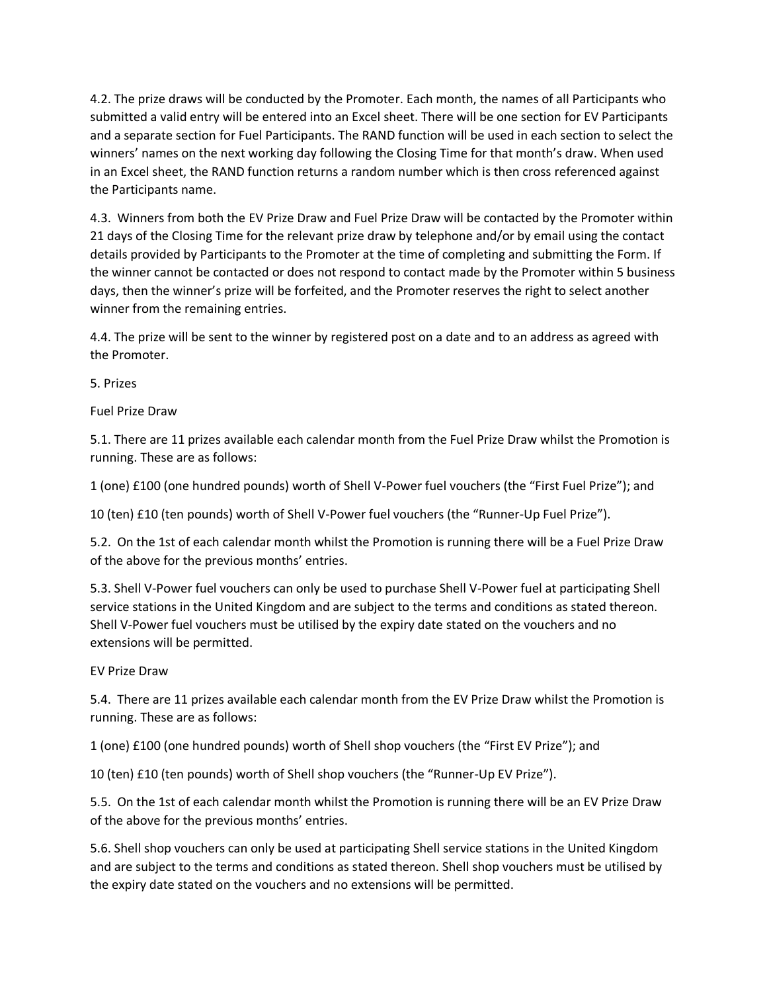4.2. The prize draws will be conducted by the Promoter. Each month, the names of all Participants who submitted a valid entry will be entered into an Excel sheet. There will be one section for EV Participants and a separate section for Fuel Participants. The RAND function will be used in each section to select the winners' names on the next working day following the Closing Time for that month's draw. When used in an Excel sheet, the RAND function returns a random number which is then cross referenced against the Participants name.

4.3. Winners from both the EV Prize Draw and Fuel Prize Draw will be contacted by the Promoter within 21 days of the Closing Time for the relevant prize draw by telephone and/or by email using the contact details provided by Participants to the Promoter at the time of completing and submitting the Form. If the winner cannot be contacted or does not respond to contact made by the Promoter within 5 business days, then the winner's prize will be forfeited, and the Promoter reserves the right to select another winner from the remaining entries.

4.4. The prize will be sent to the winner by registered post on a date and to an address as agreed with the Promoter.

5. Prizes

Fuel Prize Draw

5.1. There are 11 prizes available each calendar month from the Fuel Prize Draw whilst the Promotion is running. These are as follows:

1 (one) £100 (one hundred pounds) worth of Shell V-Power fuel vouchers (the "First Fuel Prize"); and

10 (ten) £10 (ten pounds) worth of Shell V-Power fuel vouchers (the "Runner-Up Fuel Prize").

5.2. On the 1st of each calendar month whilst the Promotion is running there will be a Fuel Prize Draw of the above for the previous months' entries.

5.3. Shell V-Power fuel vouchers can only be used to purchase Shell V-Power fuel at participating Shell service stations in the United Kingdom and are subject to the terms and conditions as stated thereon. Shell V-Power fuel vouchers must be utilised by the expiry date stated on the vouchers and no extensions will be permitted.

EV Prize Draw

5.4. There are 11 prizes available each calendar month from the EV Prize Draw whilst the Promotion is running. These are as follows:

1 (one) £100 (one hundred pounds) worth of Shell shop vouchers (the "First EV Prize"); and

10 (ten) £10 (ten pounds) worth of Shell shop vouchers (the "Runner-Up EV Prize").

5.5. On the 1st of each calendar month whilst the Promotion is running there will be an EV Prize Draw of the above for the previous months' entries.

5.6. Shell shop vouchers can only be used at participating Shell service stations in the United Kingdom and are subject to the terms and conditions as stated thereon. Shell shop vouchers must be utilised by the expiry date stated on the vouchers and no extensions will be permitted.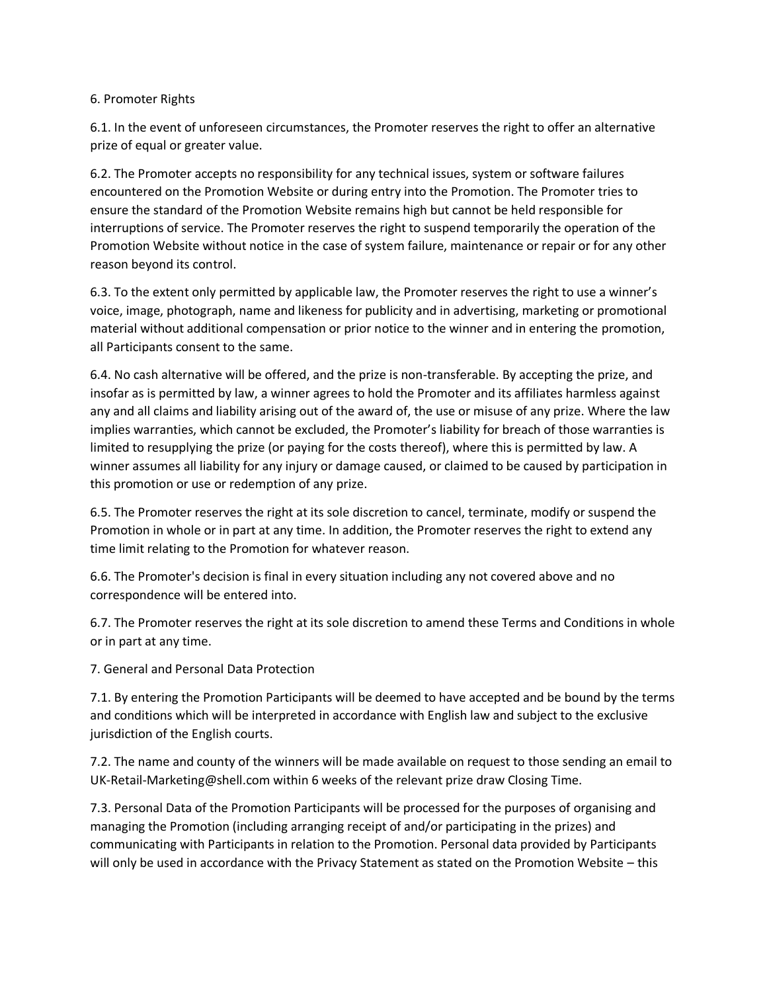#### 6. Promoter Rights

6.1. In the event of unforeseen circumstances, the Promoter reserves the right to offer an alternative prize of equal or greater value.

6.2. The Promoter accepts no responsibility for any technical issues, system or software failures encountered on the Promotion Website or during entry into the Promotion. The Promoter tries to ensure the standard of the Promotion Website remains high but cannot be held responsible for interruptions of service. The Promoter reserves the right to suspend temporarily the operation of the Promotion Website without notice in the case of system failure, maintenance or repair or for any other reason beyond its control.

6.3. To the extent only permitted by applicable law, the Promoter reserves the right to use a winner's voice, image, photograph, name and likeness for publicity and in advertising, marketing or promotional material without additional compensation or prior notice to the winner and in entering the promotion, all Participants consent to the same.

6.4. No cash alternative will be offered, and the prize is non-transferable. By accepting the prize, and insofar as is permitted by law, a winner agrees to hold the Promoter and its affiliates harmless against any and all claims and liability arising out of the award of, the use or misuse of any prize. Where the law implies warranties, which cannot be excluded, the Promoter's liability for breach of those warranties is limited to resupplying the prize (or paying for the costs thereof), where this is permitted by law. A winner assumes all liability for any injury or damage caused, or claimed to be caused by participation in this promotion or use or redemption of any prize.

6.5. The Promoter reserves the right at its sole discretion to cancel, terminate, modify or suspend the Promotion in whole or in part at any time. In addition, the Promoter reserves the right to extend any time limit relating to the Promotion for whatever reason.

6.6. The Promoter's decision is final in every situation including any not covered above and no correspondence will be entered into.

6.7. The Promoter reserves the right at its sole discretion to amend these Terms and Conditions in whole or in part at any time.

7. General and Personal Data Protection

7.1. By entering the Promotion Participants will be deemed to have accepted and be bound by the terms and conditions which will be interpreted in accordance with English law and subject to the exclusive jurisdiction of the English courts.

7.2. The name and county of the winners will be made available on request to those sending an email to UK-Retail-Marketing@shell.com within 6 weeks of the relevant prize draw Closing Time.

7.3. Personal Data of the Promotion Participants will be processed for the purposes of organising and managing the Promotion (including arranging receipt of and/or participating in the prizes) and communicating with Participants in relation to the Promotion. Personal data provided by Participants will only be used in accordance with the Privacy Statement as stated on the Promotion Website – this